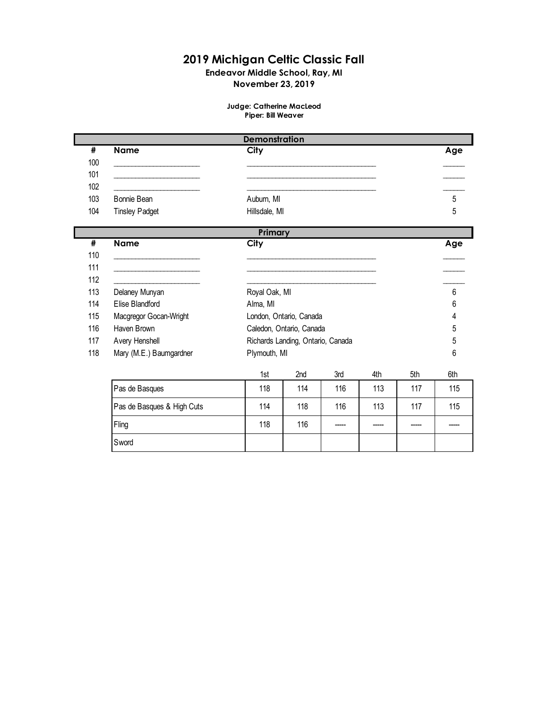## **2019 Michigan Celtic Classic Fall**

# **Endeavor Middle School, Ray, MI**

## **November 23, 2019**

#### **Judge: Catherine MacLeod Piper: Bill Weaver**

|     | <b>Demonstration</b>  |               |     |  |  |  |
|-----|-----------------------|---------------|-----|--|--|--|
| #   | <b>Name</b>           | City          | Age |  |  |  |
| 100 |                       |               |     |  |  |  |
| 101 |                       |               |     |  |  |  |
| 102 |                       |               |     |  |  |  |
| 103 | Bonnie Bean           | Auburn, MI    | 5   |  |  |  |
| 104 | <b>Tinsley Padget</b> | Hillsdale, MI | b   |  |  |  |

|     |                            | Primary       |                                   |     |     |     |     |
|-----|----------------------------|---------------|-----------------------------------|-----|-----|-----|-----|
| #   | <b>Name</b>                | City          |                                   |     |     |     | Age |
| 110 |                            |               |                                   |     |     |     |     |
| 111 |                            |               |                                   |     |     |     |     |
| 112 |                            |               |                                   |     |     |     |     |
| 113 | Delaney Munyan             | Royal Oak, MI |                                   |     |     |     | 6   |
| 114 | Elise Blandford            | Alma, MI      |                                   |     |     |     | 6   |
| 115 | Macgregor Gocan-Wright     |               | London, Ontario, Canada           |     |     |     | 4   |
| 116 | Haven Brown                |               | Caledon, Ontario, Canada          |     |     |     | 5   |
| 117 | Avery Henshell             |               | Richards Landing, Ontario, Canada |     |     |     | 5   |
| 118 | Mary (M.E.) Baumgardner    | Plymouth, MI  |                                   |     |     |     | 6   |
|     |                            | 1st           | 2nd                               | 3rd | 4th | 5th | 6th |
|     | Pas de Basques             | 118           | 114                               | 116 | 113 | 117 | 115 |
|     | Pas de Basques & High Cuts | 114           | 118                               | 116 | 113 | 117 | 115 |
|     | Fling                      | 118           | 116                               |     |     |     |     |
|     | Sword                      |               |                                   |     |     |     |     |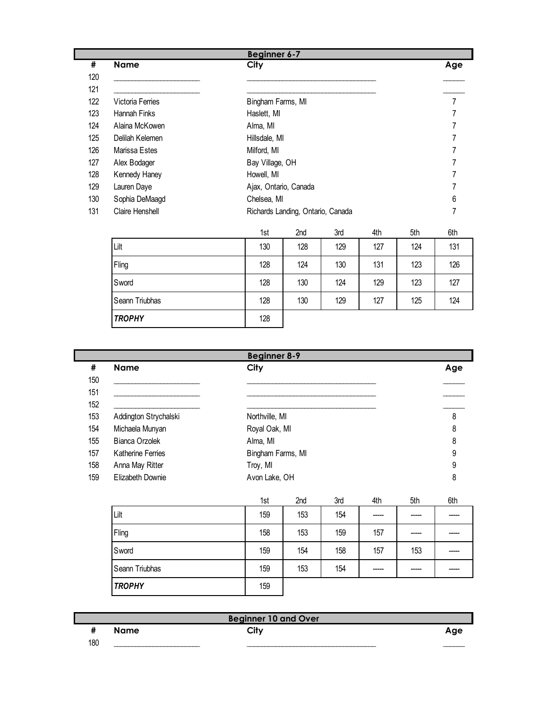|     |                  | <b>Beginner 6-7</b>               |     |
|-----|------------------|-----------------------------------|-----|
| #   | <b>Name</b>      | City                              | Age |
| 120 |                  |                                   |     |
| 121 |                  |                                   |     |
| 122 | Victoria Ferries | Bingham Farms, MI                 | 7   |
| 123 | Hannah Finks     | Haslett, MI                       |     |
| 124 | Alaina McKowen   | Alma, MI                          |     |
| 125 | Delilah Kelemen  | Hillsdale, MI                     |     |
| 126 | Marissa Estes    | Milford, MI                       |     |
| 127 | Alex Bodager     | Bay Village, OH                   |     |
| 128 | Kennedy Haney    | Howell, MI                        |     |
| 129 | Lauren Daye      | Ajax, Ontario, Canada             |     |
| 130 | Sophia DeMaagd   | Chelsea, MI                       | 6   |
| 131 | Claire Henshell  | Richards Landing, Ontario, Canada |     |

|                | 1st | 2nd | 3rd | 4th | 5th | 6th |
|----------------|-----|-----|-----|-----|-----|-----|
| Lilt           | 130 | 128 | 129 | 127 | 124 | 131 |
| Fling          | 128 | 124 | 130 | 131 | 123 | 126 |
| Sword          | 128 | 130 | 124 | 129 | 123 | 127 |
| Seann Triubhas | 128 | 130 | 129 | 127 | 125 | 124 |
| <b>TROPHY</b>  | 128 |     |     |     |     |     |

|     |                       | <b>Beginner 8-9</b> |     |     |     |     |     |
|-----|-----------------------|---------------------|-----|-----|-----|-----|-----|
| #   | <b>Name</b>           | City                |     |     |     |     |     |
| 150 |                       |                     |     |     |     |     |     |
| 151 |                       |                     |     |     |     |     |     |
| 152 |                       |                     |     |     |     |     |     |
| 153 | Addington Strychalski | Northville, MI      |     |     |     |     | 8   |
| 154 | Michaela Munyan       | Royal Oak, MI       |     |     |     |     | 8   |
| 155 | <b>Bianca Orzolek</b> | Alma, MI            |     |     |     |     | 8   |
| 157 | Katherine Ferries     | Bingham Farms, MI   |     |     |     |     | 9   |
| 158 | Anna May Ritter       | Troy, MI            |     |     |     |     | 9   |
| 159 | Elizabeth Downie      | Avon Lake, OH       |     |     |     |     | 8   |
|     |                       | 1st                 | 2nd | 3rd | 4th | 5th | 6th |
|     | Lilt                  | 159                 | 153 | 154 |     |     |     |
|     | Fling                 | 158                 | 153 | 159 | 157 |     |     |
|     | Sword                 | 159                 | 154 | 158 | 157 | 153 |     |
|     | Seann Triubhas        | 159                 | 153 | 154 |     |     |     |
|     |                       |                     |     |     |     |     |     |

|     |             | <b>Beginner 10 and Over</b> |     |
|-----|-------------|-----------------------------|-----|
|     | <b>Name</b> | $\sim$ ity                  | Age |
| 180 |             |                             |     |

*TROPHY* 159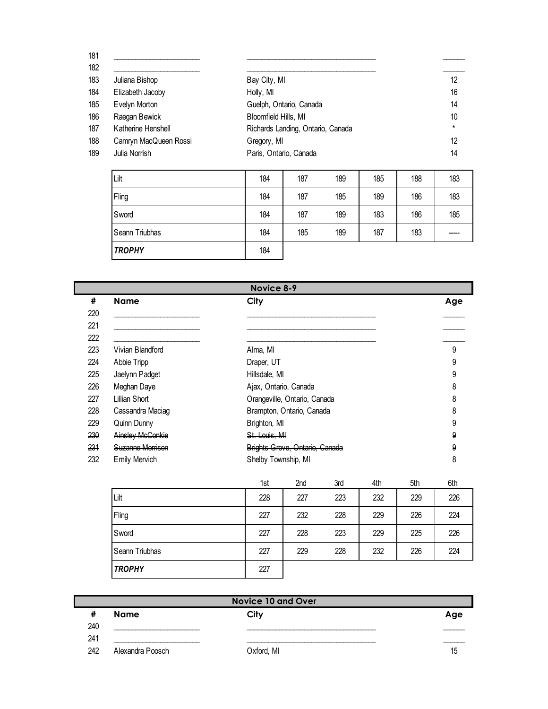| 181<br>182 |                       |                                   |         |
|------------|-----------------------|-----------------------------------|---------|
| 183        | Juliana Bishop        | Bay City, MI                      | 12      |
| 184        | Elizabeth Jacoby      | Holly, MI                         | 16      |
| 185        | Evelyn Morton         | Guelph, Ontario, Canada           | 14      |
| 186        | Raegan Bewick         | Bloomfield Hills, MI              | 10      |
| 187        | Katherine Henshell    | Richards Landing, Ontario, Canada | $\star$ |
| 188        | Camryn MacQueen Rossi | Gregory, MI                       | 12      |
| 189        | Julia Norrish         | Paris, Ontario, Canada            | 14      |
|            |                       |                                   |         |

| Lilt           | 184 | 187 | 189 | 185 | 188 | 183   |
|----------------|-----|-----|-----|-----|-----|-------|
| Fling          | 184 | 187 | 185 | 189 | 186 | 183   |
| Sword          | 184 | 187 | 189 | 183 | 186 | 185   |
| Seann Triubhas | 184 | 185 | 189 | 187 | 183 | ----- |
| <b>TROPHY</b>  | 184 |     |     |     |     |       |

|     | Novice 8-9              |                                |     |  |  |
|-----|-------------------------|--------------------------------|-----|--|--|
| #   | <b>Name</b>             | City                           | Age |  |  |
| 220 |                         |                                |     |  |  |
| 221 |                         |                                |     |  |  |
| 222 |                         |                                |     |  |  |
| 223 | Vivian Blandford        | Alma, MI                       | 9   |  |  |
| 224 | Abbie Tripp             | Draper, UT                     | 9   |  |  |
| 225 | Jaelynn Padget          | Hillsdale, MI                  | 9   |  |  |
| 226 | Meghan Daye             | Ajax, Ontario, Canada          | 8   |  |  |
| 227 | Lillian Short           | Orangeville, Ontario, Canada   | 8   |  |  |
| 228 | Cassandra Maciag        | Brampton, Ontario, Canada      | 8   |  |  |
| 229 | Quinn Dunny             | Brighton, MI                   | 9   |  |  |
| 230 | <b>Ainsley McConkie</b> | St. Louis, MI                  | 9   |  |  |
| 231 | <b>Suzanne Morrison</b> | Brights Grove, Ontario, Canada |     |  |  |
| 232 | <b>Emily Mervich</b>    | Shelby Township, MI            | 8   |  |  |

|                | 1st | 2nd | 3rd | 4th | 5th | 6th |
|----------------|-----|-----|-----|-----|-----|-----|
| Lilt           | 228 | 227 | 223 | 232 | 229 | 226 |
| Fling          | 227 | 232 | 228 | 229 | 226 | 224 |
| Sword          | 227 | 228 | 223 | 229 | 225 | 226 |
| Seann Triubhas | 227 | 229 | 228 | 232 | 226 | 224 |
| <b>TROPHY</b>  | 227 |     |     |     |     |     |

| <b>Novice 10 and Over</b> |                  |            |     |  |
|---------------------------|------------------|------------|-----|--|
|                           | <b>Name</b>      | City       | Age |  |
| 240                       |                  |            |     |  |
| 241                       |                  |            |     |  |
| 242                       | Alexandra Poosch | Oxford, MI | 15  |  |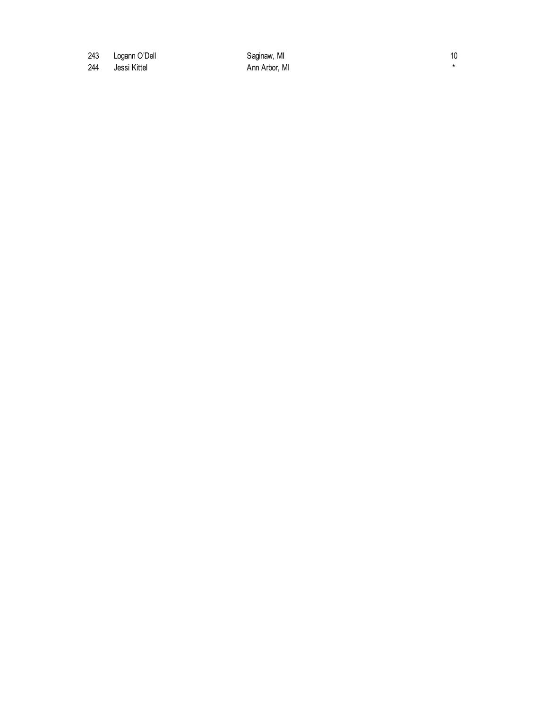243 Logann O'Dell **Saginaw, MI** 10

244 Jessi Kittel **Ann Arbor**, MI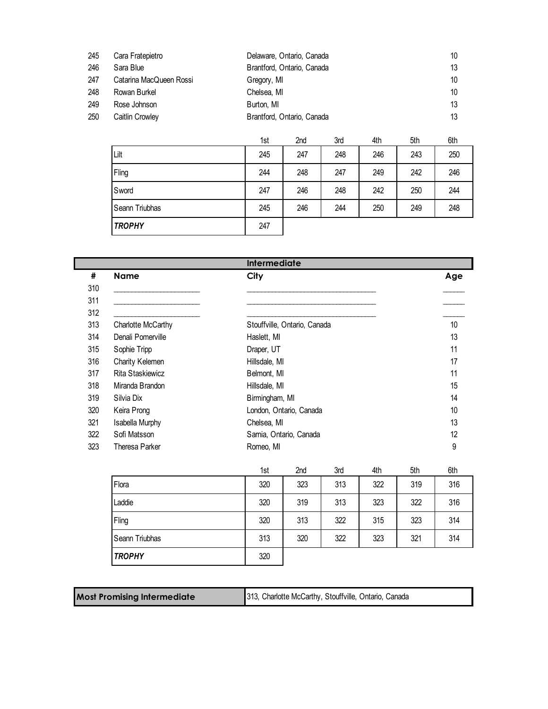| 245 | Cara Fratepietro        | Delaware, Ontario, Canada  | 10 |
|-----|-------------------------|----------------------------|----|
| 246 | Sara Blue               | Brantford, Ontario, Canada | 13 |
| 247 | Catarina MacQueen Rossi | Gregory, MI                | 10 |
| 248 | Rowan Burkel            | Chelsea. MI                | 10 |
| 249 | Rose Johnson            | Burton, MI                 | 13 |
| 250 | Caitlin Crowley         | Brantford, Ontario, Canada |    |

|                | 1st | 2nd | 3rd | 4th | 5th | 6th |
|----------------|-----|-----|-----|-----|-----|-----|
| Lilt           | 245 | 247 | 248 | 246 | 243 | 250 |
| Fling          | 244 | 248 | 247 | 249 | 242 | 246 |
| Sword          | 247 | 246 | 248 | 242 | 250 | 244 |
| Seann Triubhas | 245 | 246 | 244 | 250 | 249 | 248 |
| <b>TROPHY</b>  | 247 |     |     |     |     |     |

|     |                    | <b>Intermediate</b>          |                 |
|-----|--------------------|------------------------------|-----------------|
| #   | <b>Name</b>        | City                         | Age             |
| 310 |                    |                              |                 |
| 311 |                    |                              |                 |
| 312 |                    |                              |                 |
| 313 | Charlotte McCarthy | Stouffville, Ontario, Canada | 10 <sup>°</sup> |
| 314 | Denali Pomerville  | Haslett, MI                  | 13              |
| 315 | Sophie Tripp       | Draper, UT                   | 11              |
| 316 | Charity Kelemen    | Hillsdale, MI                | 17              |
| 317 | Rita Staskiewicz   | Belmont, MI                  | 11              |
| 318 | Miranda Brandon    | Hillsdale, MI                | 15              |
| 319 | Silvia Dix         | Birmingham, MI               | 14              |
| 320 | Keira Prong        | London, Ontario, Canada      | 10              |
| 321 | Isabella Murphy    | Chelsea, MI                  | 13              |
| 322 | Sofi Matsson       | Sarnia, Ontario, Canada      | 12              |
| 323 | Theresa Parker     | Romeo, MI                    | 9               |

|                | 1st | 2nd | 3rd | 4th | 5th | 6th |
|----------------|-----|-----|-----|-----|-----|-----|
| Flora          | 320 | 323 | 313 | 322 | 319 | 316 |
| Laddie         | 320 | 319 | 313 | 323 | 322 | 316 |
| Fling          | 320 | 313 | 322 | 315 | 323 | 314 |
| Seann Triubhas | 313 | 320 | 322 | 323 | 321 | 314 |
| <b>TROPHY</b>  | 320 |     |     |     |     |     |

| <b>Most Promising Intermediate</b> | 313, Charlotte McCarthy, Stouffville, Ontario, Canada |
|------------------------------------|-------------------------------------------------------|
|------------------------------------|-------------------------------------------------------|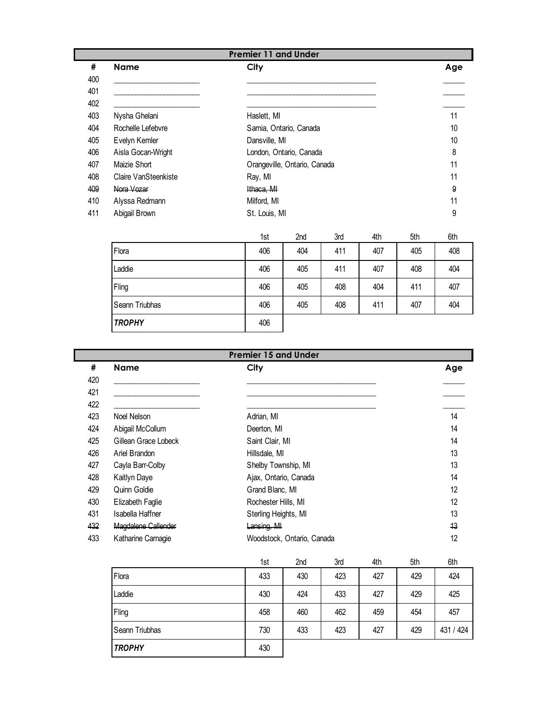|     | <b>Premier 11 and Under</b> |                              |     |  |  |  |
|-----|-----------------------------|------------------------------|-----|--|--|--|
| #   | <b>Name</b>                 | City                         | Age |  |  |  |
| 400 |                             |                              |     |  |  |  |
| 401 |                             |                              |     |  |  |  |
| 402 |                             |                              |     |  |  |  |
| 403 | Nysha Ghelani               | Haslett, MI                  | 11  |  |  |  |
| 404 | Rochelle Lefebvre           | Sarnia, Ontario, Canada      | 10  |  |  |  |
| 405 | Evelyn Kemler               | Dansville, MI                | 10  |  |  |  |
| 406 | Aisla Gocan-Wright          | London, Ontario, Canada      | 8   |  |  |  |
| 407 | Maizie Short                | Orangeville, Ontario, Canada | 11  |  |  |  |
| 408 | Claire VanSteenkiste        | Ray, MI                      | 11  |  |  |  |
| 409 | Nora Vozar                  | Ithaca, MI                   | 9   |  |  |  |
| 410 | Alyssa Redmann              | Milford, MI                  | 11  |  |  |  |
| 411 | Abigail Brown               | St. Louis, MI                | 9   |  |  |  |

|                | 1st | 2nd | 3rd | 4th | 5th | 6th |
|----------------|-----|-----|-----|-----|-----|-----|
| Flora          | 406 | 404 | 411 | 407 | 405 | 408 |
| Laddie         | 406 | 405 | 411 | 407 | 408 | 404 |
| Fling          | 406 | 405 | 408 | 404 | 411 | 407 |
| Seann Triubhas | 406 | 405 | 408 | 411 | 407 | 404 |
| <b>TROPHY</b>  | 406 |     |     |     |     |     |

|     | <b>Premier 15 and Under</b> |                            |     |  |  |  |
|-----|-----------------------------|----------------------------|-----|--|--|--|
| #   | <b>Name</b>                 | City                       | Age |  |  |  |
| 420 |                             |                            |     |  |  |  |
| 421 |                             |                            |     |  |  |  |
| 422 |                             |                            |     |  |  |  |
| 423 | Noel Nelson                 | Adrian, MI                 | 14  |  |  |  |
| 424 | Abigail McCollum            | Deerton, MI                | 14  |  |  |  |
| 425 | Gillean Grace Lobeck        | Saint Clair, MI            | 14  |  |  |  |
| 426 | Ariel Brandon               | Hillsdale, MI              | 13  |  |  |  |
| 427 | Cayla Barr-Colby            | Shelby Township, MI        | 13  |  |  |  |
| 428 | Kaitlyn Daye                | Ajax, Ontario, Canada      | 14  |  |  |  |
| 429 | Quinn Goldie                | Grand Blanc, MI            | 12  |  |  |  |
| 430 | Elizabeth Faglie            | Rochester Hills, MI        | 12  |  |  |  |
| 431 | Isabella Haffner            | Sterling Heights, MI       | 13  |  |  |  |
| 432 | Magdalene Callender         | Lansing, MI                | 13  |  |  |  |
| 433 | Katharine Carnagie          | Woodstock, Ontario, Canada | 12  |  |  |  |

|                | 1st | 2nd | 3rd | 4th | 5th | 6th       |
|----------------|-----|-----|-----|-----|-----|-----------|
| Flora          | 433 | 430 | 423 | 427 | 429 | 424       |
| Laddie         | 430 | 424 | 433 | 427 | 429 | 425       |
| Fling          | 458 | 460 | 462 | 459 | 454 | 457       |
| Seann Triubhas | 730 | 433 | 423 | 427 | 429 | 431 / 424 |
| <b>TROPHY</b>  | 430 |     |     |     |     |           |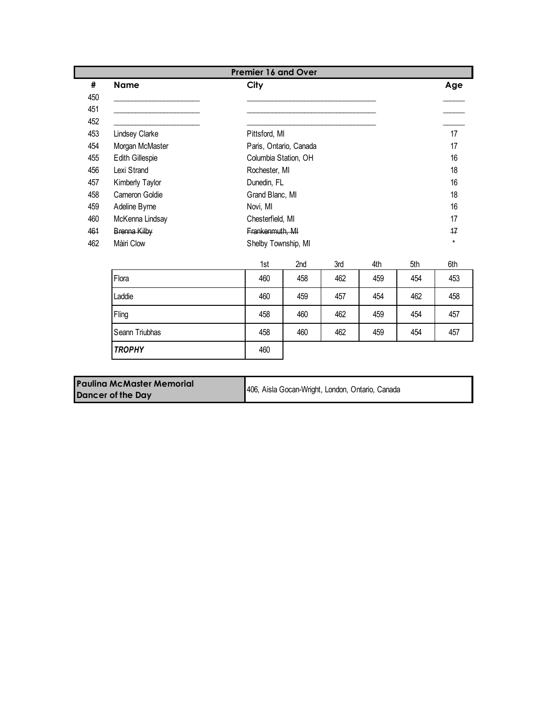| #   | <b>Name</b>     | City                 |                        |     |     |     | Age             |
|-----|-----------------|----------------------|------------------------|-----|-----|-----|-----------------|
| 450 |                 |                      |                        |     |     |     |                 |
| 451 |                 |                      |                        |     |     |     |                 |
| 452 |                 |                      |                        |     |     |     |                 |
| 453 | Lindsey Clarke  | Pittsford, MI        |                        |     |     |     | 17              |
| 454 | Morgan McMaster |                      | Paris, Ontario, Canada |     |     |     | 17              |
| 455 | Edith Gillespie | Columbia Station, OH |                        |     |     |     | 16              |
| 456 | Lexi Strand     | Rochester, MI        |                        |     |     |     | 18              |
| 457 | Kimberly Taylor | Dunedin, FL          |                        |     |     |     | 16              |
| 458 | Cameron Goldie  | Grand Blanc, MI      |                        |     |     |     | 18              |
| 459 | Adeline Byrne   | Novi, MI             |                        |     |     |     | 16              |
| 460 | McKenna Lindsay | Chesterfield, MI     |                        |     |     |     | 17              |
| 461 | Brenna Kilby    | Frankenmuth, MI      |                        |     |     |     | $\overline{17}$ |
| 462 | Màiri Clow      | Shelby Township, MI  |                        |     |     |     | $\star$         |
|     |                 | 1st                  | 2nd                    | 3rd | 4th | 5th | 6th             |
|     | Flora           | 460                  | 458                    | 462 | 459 | 454 | 453             |
|     | Laddie          | 460                  | 459                    | 457 | 454 | 462 | 458             |
|     | Fling           | 458                  | 460                    | 462 | 459 | 454 | 457             |
|     | Seann Triubhas  | 458                  | 460                    | 462 | 459 | 454 | 457             |
|     | <b>TROPHY</b>   | 460                  |                        |     |     |     |                 |

| <b>Paulina McMaster Memorial</b> | 406, Aisla Gocan-Wright, London, Ontario, Canada |
|----------------------------------|--------------------------------------------------|
| <b>Dancer of the Day</b>         |                                                  |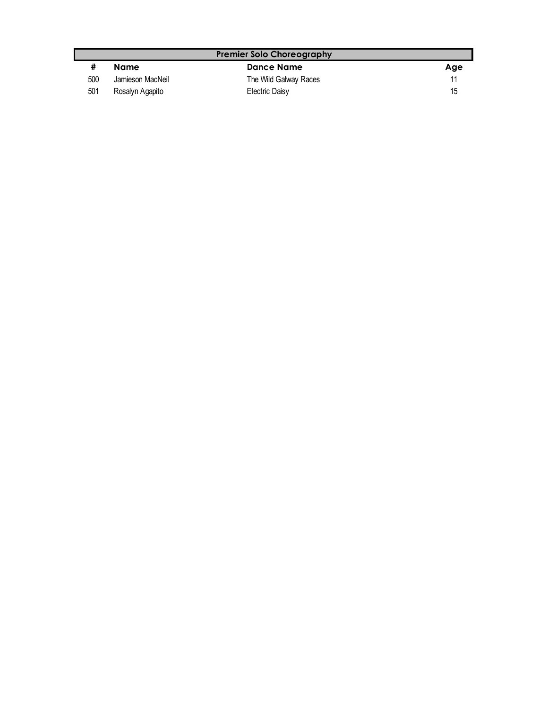| <b>Premier Solo Choreography</b> |                  |                       |     |  |  |
|----------------------------------|------------------|-----------------------|-----|--|--|
|                                  | Name             | <b>Dance Name</b>     | Age |  |  |
| 500                              | Jamieson MacNeil | The Wild Galway Races |     |  |  |
| 501                              | Rosalyn Agapito  | Electric Daisy        | 15  |  |  |